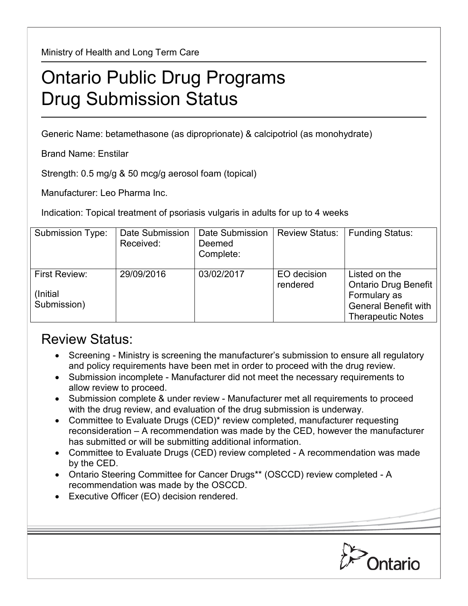Ministry of Health and Long Term Care

## Ontario Public Drug Programs Drug Submission Status

Generic Name: betamethasone (as diproprionate) & calcipotriol (as monohydrate)

Brand Name: Enstilar

Strength: 0.5 mg/g & 50 mcg/g aerosol foam (topical)

Manufacturer: Leo Pharma Inc.

Indication: Topical treatment of psoriasis vulgaris in adults for up to 4 weeks

| Submission Type:                         | Date Submission<br>Received: | Date Submission<br>Deemed<br>Complete: | <b>Review Status:</b>   | <b>Funding Status:</b>                                                                                           |
|------------------------------------------|------------------------------|----------------------------------------|-------------------------|------------------------------------------------------------------------------------------------------------------|
| First Review:<br>(Initial<br>Submission) | 29/09/2016                   | 03/02/2017                             | EO decision<br>rendered | Listed on the<br>Ontario Drug Benefit<br>Formulary as<br><b>General Benefit with</b><br><b>Therapeutic Notes</b> |

## Review Status:

- Screening Ministry is screening the manufacturer's submission to ensure all regulatory and policy requirements have been met in order to proceed with the drug review.
- Submission incomplete Manufacturer did not meet the necessary requirements to allow review to proceed.
- Submission complete & under review Manufacturer met all requirements to proceed with the drug review, and evaluation of the drug submission is underway.
- Committee to Evaluate Drugs (CED)\* review completed, manufacturer requesting reconsideration – A recommendation was made by the CED, however the manufacturer has submitted or will be submitting additional information.
- Committee to Evaluate Drugs (CED) review completed A recommendation was made by the CED.
- Ontario Steering Committee for Cancer Drugs\*\* (OSCCD) review completed A recommendation was made by the OSCCD.
- Executive Officer (EO) decision rendered.